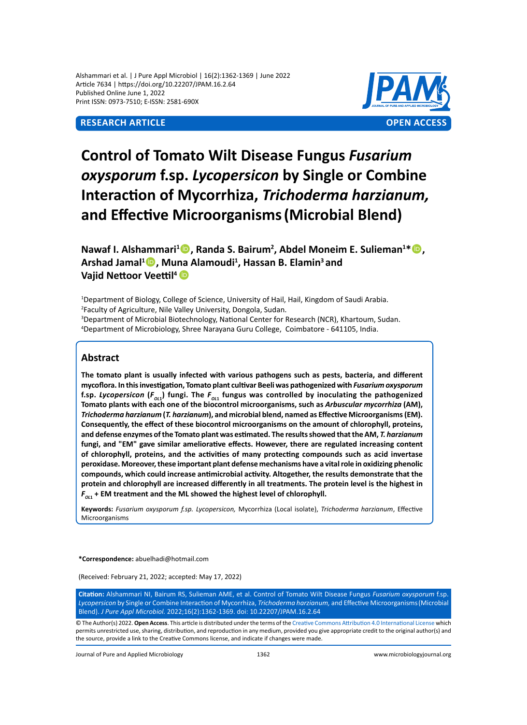Alshammari et al. | J Pure Appl Microbiol | 16(2):1362-1369 | June 2022 Article 7634 | https://doi.org/10.22207/JPAM.16.2.64 Published Online June 1, 2022 Print ISSN: 0973-7510; E-ISSN: 2581-690X

# **Research Article OPEN ACCESS**



# **Control of Tomato Wilt Disease Fungus** *Fusarium oxysporum* **f.sp.** *Lycopersicon* **by Single or Combine Interaction of Mycorrhiza,** *Trichoderma harzianum,*  **and Effective Microorganisms(Microbial Blend)**

**Nawaf I. Alshammari<sup>1</sup><sup>1</sup>, Randa S. Bairum<sup>2</sup>, Abdel Moneim E. Sulieman<sup>1\*</sup><sup>1</sup>, Arshad Jamal<sup>1</sup> , Muna Alamoudi<sup>1</sup> , Hassan B. Elamin3 and Vajid Nettoor Veettil<sup>4</sup>**

 Department of Biology, College of Science, University of Hail, Hail, Kingdom of Saudi Arabia. Faculty of Agriculture, Nile Valley University, Dongola, Sudan. Department of Microbial Biotechnology, National Center for Research (NCR), Khartoum, Sudan. Department of Microbiology, Shree Narayana Guru College, Coimbatore - 641105, India.

# **Abstract**

**The tomato plant is usually infected with various pathogens such as pests, bacteria, and different mycoflora. In this investigation, Tomato plant cultivar Beeli was pathogenized with** *Fusarium oxysporum*  f.sp. Lycopersicon (F<sub>o11</sub>) fungi. The F<sub>o11</sub> fungus was controlled by inoculating the pathogenized **Tomato plants with each one of the biocontrol microorganisms, such as** *Arbuscular mycorrhiza* **(AM),**  *Trichoderma harzianum* **(***T. harzianum***), and microbial blend, named as Effective Microorganisms (EM). Consequently, the effect of these biocontrol microorganisms on the amount of chlorophyll, proteins, and defense enzymes of the Tomato plant was estimated. The results showed that the AM,** *T. harzianum*  **fungi, and "EM" gave similar ameliorative effects. However, there are regulated increasing content of chlorophyll, proteins, and the activities of many protecting compounds such as acid invertase peroxidase. Moreover, these important plant defense mechanisms have a vital role in oxidizing phenolic compounds, which could increase antimicrobial activity. Altogether, the results demonstrate that the protein and chlorophyll are increased differently in all treatments. The protein level is the highest in**   $F_{_{O11}}$  + EM treatment and the ML showed the highest level of chlorophyll.

**Keywords:** *Fusarium oxysporum f.sp. Lycopersicon,* Mycorrhiza (Local isolate), *Trichoderma harzianum*, Effective Microorganisms

**\*Correspondence:** abuelhadi@hotmail.com

(Received: February 21, 2022; accepted: May 17, 2022)

**Citation:** Alshammari NI, Bairum RS, Sulieman AME, et al. Control of Tomato Wilt Disease Fungus *Fusarium oxysporum* f.sp. *Lycopersicon* by Single or Combine Interaction of Mycorrhiza, *Trichoderma harzianum,* and Effective Microorganisms(Microbial Blend). *J Pure Appl Microbiol.* 2022;16(2):1362-1369. doi: 10.22207/JPAM.16.2.64

© The Author(s) 2022. **Open Access**. This article is distributed under the terms of the [Creative Commons Attribution 4.0 International License](https://creativecommons.org/licenses/by/4.0/) which permits unrestricted use, sharing, distribution, and reproduction in any medium, provided you give appropriate credit to the original author(s) and the source, provide a link to the Creative Commons license, and indicate if changes were made.

Journal of Pure and Applied Microbiology 1362 www.microbiologyjournal.org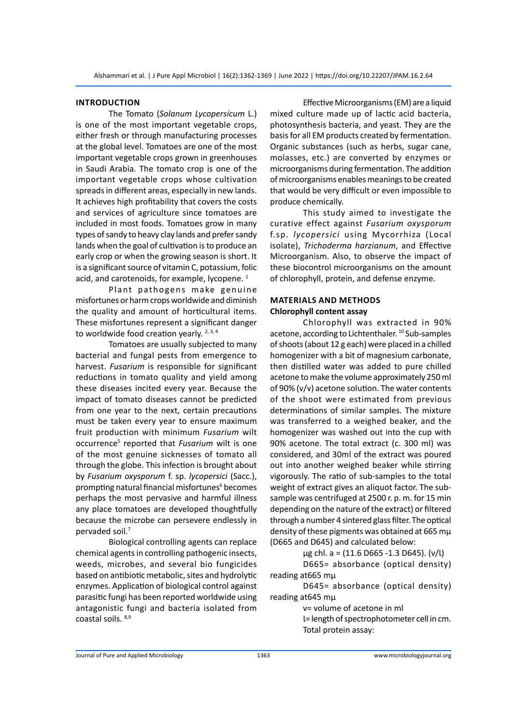#### **Introduction**

The Tomato (*Solanum Lycopersicum* L.) is one of the most important vegetable crops, either fresh or through manufacturing processes at the global level. Tomatoes are one of the most important vegetable crops grown in greenhouses in Saudi Arabia. The tomato crop is one of the important vegetable crops whose cultivation spreads in different areas, especially in new lands. It achieves high profitability that covers the costs and services of agriculture since tomatoes are included in most foods. Tomatoes grow in many types of sandy to heavy clay lands and prefer sandy lands when the goal of cultivation is to produce an early crop or when the growing season is short. It is a significant source of vitamin C, potassium, folic acid, and carotenoids, for example, lycopene.<sup>1</sup>

Plant pathogens make genuine misfortunes or harm crops worldwide and diminish the quality and amount of horticultural items. These misfortunes represent a significant danger to worldwide food creation yearly.  $2,3,4$ 

Tomatoes are usually subjected to many bacterial and fungal pests from emergence to harvest. *Fusarium* is responsible for significant reductions in tomato quality and yield among these diseases incited every year. Because the impact of tomato diseases cannot be predicted from one year to the next, certain precautions must be taken every year to ensure maximum fruit production with minimum *Fusarium* wilt occurrence<sup>5</sup> reported that *Fusarium* wilt is one of the most genuine sicknesses of tomato all through the globe. This infection is brought about by *Fusarium oxysporum* f. sp. *lycopersici* (Sacc.), prompting natural financial misfortunes<sup>6</sup> becomes perhaps the most pervasive and harmful illness any place tomatoes are developed thoughtfully because the microbe can persevere endlessly in pervaded soil.7

Biological controlling agents can replace chemical agents in controlling pathogenic insects, weeds, microbes, and several bio fungicides based on antibiotic metabolic, sites and hydrolytic enzymes. Application of biological control against parasitic fungi has been reported worldwide using antagonistic fungi and bacteria isolated from coastal soils. 8,9

Effective Microorganisms (EM) are a liquid mixed culture made up of lactic acid bacteria, photosynthesis bacteria, and yeast. They are the basis for all EM products created by fermentation. Organic substances (such as herbs, sugar cane, molasses, etc.) are converted by enzymes or microorganisms during fermentation. The addition of microorganisms enables meanings to be created that would be very difficult or even impossible to produce chemically.

This study aimed to investigate the curative effect against *Fusarium oxysporum* f.sp. *lycopersici* using Mycorrhiza (Local isolate), *Trichoderma harzianum*, and Effective Microorganism. Also, to observe the impact of these biocontrol microorganisms on the amount of chlorophyll, protein, and defense enzyme.

## **Materials and Methods Chlorophyll content assay**

Chlorophyll was extracted in 90% acetone, according to Lichtenthaler. 10 Sub-samples of shoots (about 12 g each) were placed in a chilled homogenizer with a bit of magnesium carbonate, then distilled water was added to pure chilled acetone to make the volume approximately 250 ml of 90% (v/v) acetone solution. The water contents of the shoot were estimated from previous determinations of similar samples. The mixture was transferred to a weighed beaker, and the homogenizer was washed out into the cup with 90% acetone. The total extract (c. 300 ml) was considered, and 30ml of the extract was poured out into another weighed beaker while stirring vigorously. The ratio of sub-samples to the total weight of extract gives an aliquot factor. The subsample was centrifuged at 2500 r. p. m. for 15 min depending on the nature of the extract) or filtered through a number 4 sintered glass filter. The optical density of these pigments was obtained at 665 mµ (D665 and D645) and calculated below:

 $\mu$ g chl. a = (11.6 D665 -1.3 D645). (ν/l)

D665= absorbance (optical density) reading at665 mµ

D645= absorbance (optical density) reading at645 mµ

ν= volume of acetone in ml

Ɩ= length of spectrophotometer cell in cm. Total protein assay:

Journal of Pure and Applied Microbiology 1363 www.microbiologyjournal.org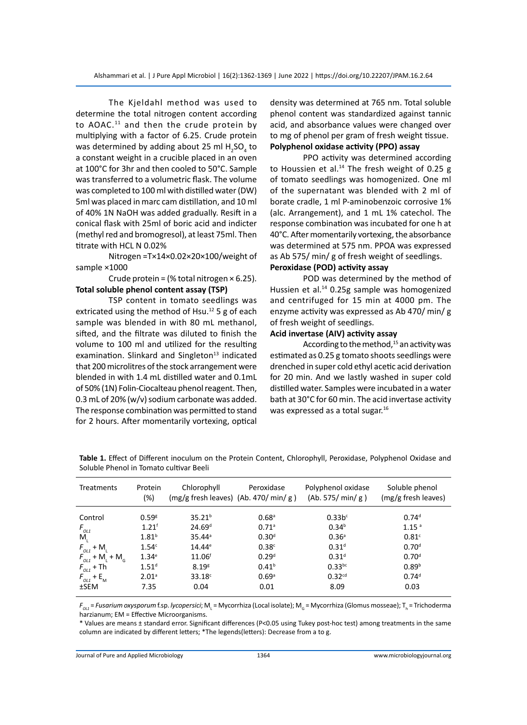The Kjeldahl method was used to determine the total nitrogen content according to AOAC. $11$  and then the crude protein by multiplying with a factor of 6.25. Crude protein was determined by adding about 25 ml  $H_2SO_4$  to a constant weight in a crucible placed in an oven at 100°C for 3hr and then cooled to 50°C. Sample was transferred to a volumetric flask. The volume was completed to 100 ml with distilled water (DW) 5ml was placed in marc cam distillation, and 10 ml of 40% 1N NaOH was added gradually. Resift in a conical flask with 25ml of boric acid and indicter (methyl red and bromogresol), at least 75ml. Then titrate with HCL N 0.02%

Nitrogen =T×14×0.02×20×100/weight of sample ×1000

Crude protein = (% total nitrogen  $\times$  6.25). **Total soluble phenol content assay (TSP)**

TSP content in tomato seedlings was extricated using the method of Hsu.<sup>12</sup> 5 g of each sample was blended in with 80 mL methanol, sifted, and the filtrate was diluted to finish the volume to 100 ml and utilized for the resulting examination. Slinkard and Singleton $13$  indicated that 200 microlitres of the stock arrangement were blended in with 1.4 mL distilled water and 0.1mL of 50% (1N) Folin-Ciocalteau phenol reagent. Then, 0.3 mL of 20% (w/v) sodium carbonate was added. The response combination was permitted to stand for 2 hours. After momentarily vortexing, optical density was determined at 765 nm. Total soluble phenol content was standardized against tannic acid, and absorbance values were changed over to mg of phenol per gram of fresh weight tissue. **Polyphenol oxidase activity (PPO) assay**

PPO activity was determined according to Houssien et al.<sup>14</sup> The fresh weight of 0.25 g of tomato seedlings was homogenized. One ml of the supernatant was blended with 2 ml of borate cradle, 1 ml P-aminobenzoic corrosive 1% (alc. Arrangement), and 1 mL 1% catechol. The response combination was incubated for one h at 40°C. After momentarily vortexing, the absorbance was determined at 575 nm. PPOA was expressed as Ab 575/ min/ g of fresh weight of seedlings. **Peroxidase (POD) activity assay**

POD was determined by the method of Hussien et al.<sup>14</sup> 0.25g sample was homogenized and centrifuged for 15 min at 4000 pm. The enzyme activity was expressed as Ab 470/ min/ g of fresh weight of seedlings.

## **Acid invertase (AIV) activity assay**

According to the method, $15$  an activity was estimated as 0.25 g tomato shoots seedlings were drenched in super cold ethyl acetic acid derivation for 20 min. And we lastly washed in super cold distilled water. Samples were incubated in a water bath at 30°C for 60 min. The acid invertase activity was expressed as a total sugar.<sup>16</sup>

| <b>Treatments</b>                           | Protein<br>(%)      | Chlorophyll<br>$(mg/g$ fresh leaves) $(Ab. 470/min/g)$ | Peroxidase          | Polyphenol oxidase<br>(Ab. 575/min/g) | Soluble phenol<br>(mg/g fresh leaves) |
|---------------------------------------------|---------------------|--------------------------------------------------------|---------------------|---------------------------------------|---------------------------------------|
| Control                                     | 0.59 <sup>g</sup>   | 35.21 <sup>b</sup>                                     | $0.68$ <sup>a</sup> | 0.33b <sup>c</sup>                    | 0.74 <sup>d</sup>                     |
| $F_{_{OL1}}$                                | $1.21^{\mathrm{f}}$ | 24.69 <sup>d</sup>                                     | $0.71$ <sup>a</sup> | 0.34 <sup>b</sup>                     | 1.15 <sup>a</sup>                     |
| M,                                          | $1.81^{b}$          | $35.44^a$                                              | 0.30 <sup>d</sup>   | 0.36 <sup>a</sup>                     | 0.81 <sup>c</sup>                     |
| $F_{OL1}$ + M                               | 1.54 <sup>c</sup>   | $14.44^e$                                              | 0.38 <sup>c</sup>   | 0.31 <sup>d</sup>                     | 0.70 <sup>d</sup>                     |
| $F_{OL1}$ + M <sub>L</sub> + M <sub>G</sub> | 1.34 <sup>e</sup>   | 11.06 <sup>f</sup>                                     | 0.29 <sup>d</sup>   | 0.31 <sup>d</sup>                     | 0.70 <sup>d</sup>                     |
| $F_{OL1}$ + Th                              | $1.51^d$            | 8.19 <sup>g</sup>                                      | 0.41 <sup>b</sup>   | $0.33^{bc}$                           | 0.89 <sup>b</sup>                     |
| $F_{OL1}$ + E <sub>M</sub>                  | 2.01 <sup>a</sup>   | $33.18^c$                                              | 0.69 <sup>a</sup>   | 0.32 <sup>cd</sup>                    | 0.74 <sup>d</sup>                     |
| $±$ SEM                                     | 7.35                | 0.04                                                   | 0.01                | 8.09                                  | 0.03                                  |

**Table 1.** Effect of Different inoculum on the Protein Content, Chlorophyll, Peroxidase, Polyphenol Oxidase and Soluble Phenol in Tomato cultivar Beeli

 $F_{o_{LL}}$ = *Fusarium oxysporum* f.sp. *lycopersici*; M<sub>L</sub> = Mycorrhiza (Local isolate); M<sub>G</sub> = Mycorrhiza (Glomus mosseae); T<sub>h</sub> = Trichoderma harzianum; EM = Effective Microorganisms.

\* Values are means ± standard error. Significant differences (P<0.05 using Tukey post-hoc test) among treatments in the same column are indicated by different letters; \*The legends(letters): Decrease from a to g.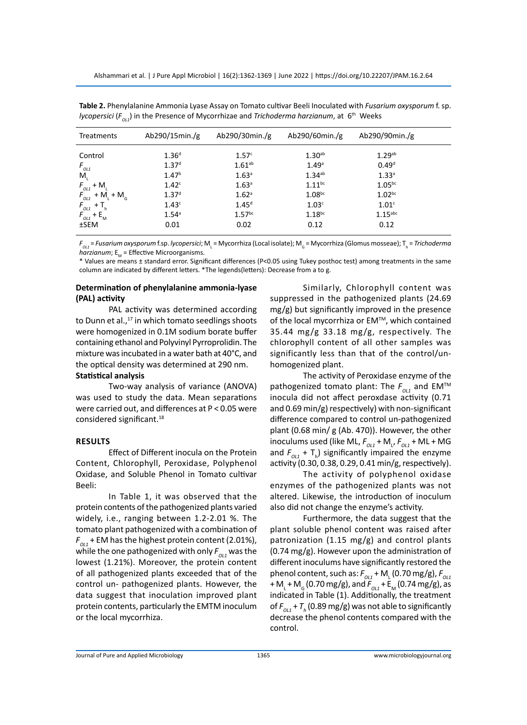| <b>Treatments</b>                              | Ab290/15min./g                         | Ab290/30 $min./g$             | Ab290/60min./g                          | Ab290/90min./g                         |  |
|------------------------------------------------|----------------------------------------|-------------------------------|-----------------------------------------|----------------------------------------|--|
| Control                                        | 1.36 <sup>d</sup>                      | 1.57 <sup>c</sup>             | 1.30 <sup>ab</sup>                      | $1.29$ <sup>ab</sup>                   |  |
| $F_{_{OL1}}$<br>M,                             | 1.37 <sup>d</sup><br>1.47 <sup>b</sup> | $1.61^{ab}$<br>$1.63^{\circ}$ | 1.49 <sup>a</sup><br>1.34 <sup>ab</sup> | 0.49 <sup>d</sup><br>1.33 <sup>a</sup> |  |
| $F_{OL1}$ + M                                  | 1.42 <sup>c</sup>                      | $1.63^{\circ}$                | $1.11^{bc}$                             | $1.05^{bc}$                            |  |
| $F_{_{OL1}}$ + M <sub>L</sub> + M <sub>G</sub> | 1.37 <sup>d</sup>                      | 1.62 <sup>a</sup>             | 1.08 <sub>bc</sub>                      | 1.02 <sub>bc</sub>                     |  |
| $F_{OL1}$ + T <sub>h</sub>                     | 1.43 <sup>c</sup>                      | $1.45^{d}$                    | 1.03 <sup>c</sup>                       | 1.01 <sup>c</sup>                      |  |
| $F_{OL1}$ + E <sub>M</sub>                     | $1.54^{\circ}$                         | 1.57 <sup>bc</sup>            | 1.18 <sup>bc</sup>                      | $1.15$ <sup>abc</sup>                  |  |
| $±$ SEM                                        | 0.01                                   | 0.02                          | 0.12                                    | 0.12                                   |  |

**Table 2.** Phenylalanine Ammonia Lyase Assay on Tomato cultivar Beeli Inoculated with *Fusarium oxysporum* f. sp. *lycopersici* ( $F_{\text{out}}$ ) in the Presence of Mycorrhizae and *Trichoderma harzianum*, at 6<sup>th</sup> Weeks

 $F_{o_{LL}}$  = *Fusarium oxysporum* f.sp. *lycopersici*; M<sub>L</sub> = Mycorrhiza (Local isolate); M<sub>G</sub> = Mycorrhiza (Glomus mosseae); T<sub>h</sub> = *Trichoderma*  $h\overline{arzianum}$ ;  $E_M$  = Effective Microorganisms.

\* Values are means ± standard error. Significant differences (P<0.05 using Tukey posthoc test) among treatments in the same column are indicated by different letters. \*The legends(letters): Decrease from a to g.

#### **Determination of phenylalanine ammonia-lyase (PAL) activity**

PAL activity was determined according to Dunn et al., $^{17}$  in which tomato seedlings shoots were homogenized in 0.1M sodium borate buffer containing ethanol and Polyvinyl Pyrroprolidin. The mixture was incubated in a water bath at 40°C, and the optical density was determined at 290 nm.

## **Statistical analysis**

Two-way analysis of variance (ANOVA) was used to study the data. Mean separations were carried out, and differences at P < 0.05 were considered significant.<sup>18</sup>

## **Results**

Effect of Different inocula on the Protein Content, Chlorophyll, Peroxidase, Polyphenol Oxidase, and Soluble Phenol in Tomato cultivar Beeli:

In Table 1, it was observed that the protein contents of the pathogenized plants varied widely, i.e., ranging between 1.2-2.01 %. The tomato plant pathogenized with a combination of  $F_{011}$  + EM has the highest protein content (2.01%), while the one pathogenized with only  $F_{0L1}$  was the lowest (1.21%). Moreover, the protein content of all pathogenized plants exceeded that of the control un- pathogenized plants. However, the data suggest that inoculation improved plant protein contents, particularly the EMTM inoculum or the local mycorrhiza.

Similarly, Chlorophyll content was suppressed in the pathogenized plants (24.69 mg/g) but significantly improved in the presence of the local mycorrhiza or EM™, which contained 35.44 mg/g 33.18 mg/g, respectively. The chlorophyll content of all other samples was significantly less than that of the control/unhomogenized plant.

The activity of Peroxidase enzyme of the pathogenized tomato plant: The  $F_{OL1}$  and EM<sup>TM</sup> inocula did not affect peroxdase activity (0.71 and 0.69 min/g) respectively) with non-significant difference compared to control un-pathogenized plant (0.68 min/ g (Ab. 470)). However, the other inoculums used (like ML,  $F_{_{O\!L1}}$  + M<sub>L</sub>,  $F_{_{O\!L1}}$  + ML + MG and  $F_{_{OLI}} + T_{h}$ ) significantly impaired the enzyme activity (0.30, 0.38, 0.29, 0.41 min/g, respectively).

The activity of polyphenol oxidase enzymes of the pathogenized plants was not altered. Likewise, the introduction of inoculum also did not change the enzyme's activity.

Furthermore, the data suggest that the plant soluble phenol content was raised after patronization (1.15 mg/g) and control plants (0.74 mg/g). However upon the administration of different inoculums have significantly restored the phenol content, such as:  $F_{_{O\!L\!I}}$  + M<sub>L</sub> (0.70 mg/g),  $F_{_{O\!L\!I}}$ + M<sub>L</sub> + M<sub>G</sub> (0.70 mg/g), and  $F_{OL1}$  + E<sub>M</sub> (0.74 mg/g), as indicated in Table (1). Additionally, the treatment of  $F_{_{OLI}}$  +  $T_{_h}$  (0.89 mg/g) was not able to significantly decrease the phenol contents compared with the control.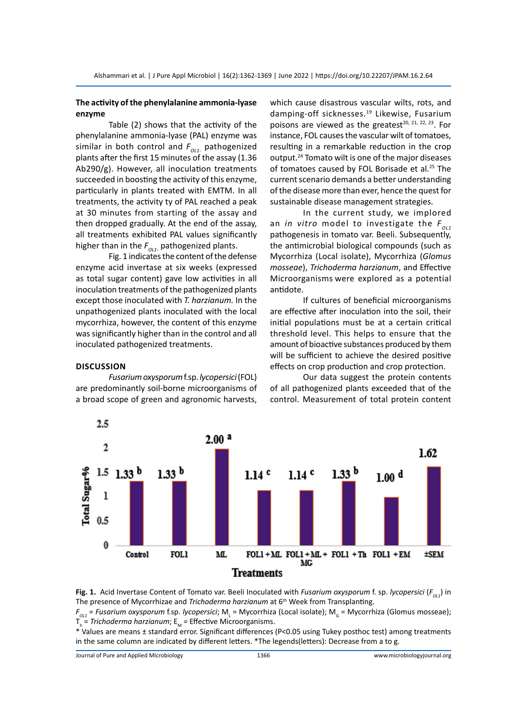## **The activity of the phenylalanine ammonia-lyase enzyme**

Table (2) shows that the activity of the phenylalanine ammonia-lyase (PAL) enzyme was similar in both control and  $F_{\text{out}}$  pathogenized plants after the first 15 minutes of the assay (1.36 Ab290/g). However, all inoculation treatments succeeded in boosting the activity of this enzyme, particularly in plants treated with EMTM. In all treatments, the activity ty of PAL reached a peak at 30 minutes from starting of the assay and then dropped gradually. At the end of the assay, all treatments exhibited PAL values significantly higher than in the  $F_{OIL}$  pathogenized plants.

Fig. 1 indicates the content of the defense enzyme acid invertase at six weeks (expressed as total sugar content) gave low activities in all inoculation treatments of the pathogenized plants except those inoculated with *T. harzianum.* In the unpathogenized plants inoculated with the local mycorrhiza, however, the content of this enzyme was significantly higher than in the control and all inoculated pathogenized treatments.

are predominantly soil-borne microorganisms of a broad scope of green and agronomic harvests,

*Fusarium oxysporum* f.sp. *lycopersici* (FOL)

**Discussion**

which cause disastrous vascular wilts, rots, and damping-off sicknesses.<sup>19</sup> Likewise, Fusarium poisons are viewed as the greatest<sup>20, 21, 22, 23</sup>. For instance, FOL causes the vascular wilt of tomatoes, resulting in a remarkable reduction in the crop output.24 Tomato wilt is one of the major diseases of tomatoes caused by FOL Borisade et al.<sup>25</sup> The current scenario demands a better understanding of the disease more than ever, hence the quest for sustainable disease management strategies.

In the current study, we implored an *in vitro* model to investigate the  $F_{0/1}$ pathogenesis in tomato var. Beeli. Subsequently, the antimicrobial biological compounds (such as Mycorrhiza (Local isolate), Mycorrhiza (*Glomus mosseae*), *Trichoderma harzianum*, and Effective Microorganisms were explored as a potential antidote.

If cultures of beneficial microorganisms are effective after inoculation into the soil, their initial populations must be at a certain critical threshold level. This helps to ensure that the amount of bioactive substances produced by them will be sufficient to achieve the desired positive effects on crop production and crop protection.

Our data suggest the protein contents of all pathogenized plants exceeded that of the control. Measurement of total protein content



**Fig. 1.** Acid Invertase Content of Tomato var. Beeli Inoculated with *Fusarium oxysporum* f. sp. *lycopersici* ( $F_{01}$ ) in The presence of Mycorrhizae and *Trichoderma harzianum* at 6th Week from Transplanting.

*FOL1* = *Fusarium oxysporum* f.sp. *lycopersici*; M<sup>L</sup> = Mycorrhiza (Local isolate); MG = Mycorrhiza (Glomus mosseae); T<sub>h</sub> = *Trichoderma harzianum*; E<sub>M</sub> = Effective Microorganisms.

\* Values are means ± standard error. Significant differences (P<0.05 using Tukey posthoc test) among treatments in the same column are indicated by different letters. \*The legends(letters): Decrease from a to g.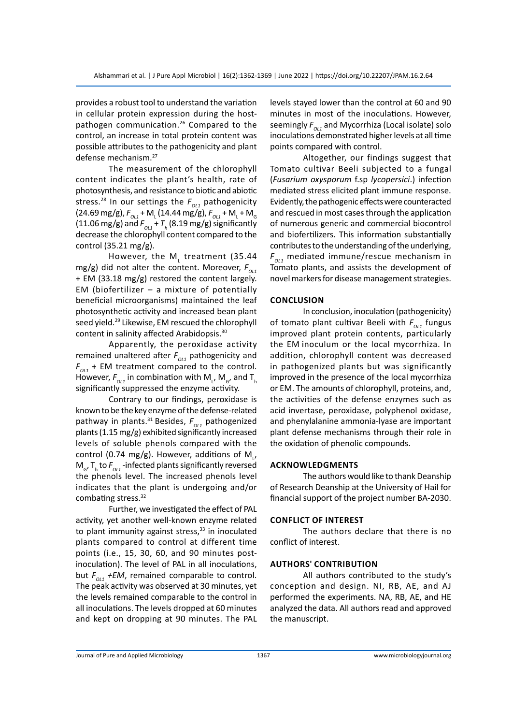provides a robust tool to understand the variation in cellular protein expression during the hostpathogen communication.26 Compared to the control, an increase in total protein content was possible attributes to the pathogenicity and plant defense mechanism.27

The measurement of the chlorophyll content indicates the plant's health, rate of photosynthesis, and resistance to biotic and abiotic stress.<sup>28</sup> In our settings the  $F_{01}$  pathogenicity  $(24.69 \text{ mg/g}), F_{_{O11}} + M_{L} (14.44 \text{ mg/g}), F_{_{O11}} + M_{L} + M_{G}$ (11.06 mg/g) and  $F_{_{O\!L1}}$  +  $T_{_h}$  (8.19 mg/g) significantly decrease the chlorophyll content compared to the control (35.21 mg/g).

However, the M<sub>L</sub> treatment (35.44 mg/g) did not alter the content. Moreover,  $F_{011}$ + EM (33.18 mg/g) restored the content largely. EM (biofertilizer – a mixture of potentially beneficial microorganisms) maintained the leaf photosynthetic activity and increased bean plant seed yield.<sup>29</sup> Likewise, EM rescued the chlorophyll content in salinity affected Arabidopsis.<sup>30</sup>

Apparently, the peroxidase activity remained unaltered after  $F_{0L1}$  pathogenicity and  $F_{011}$  + EM treatment compared to the control. However,  $F_{_{O\!L1}}$  in combination with  $\mathsf{M}_{_{\mathsf{L}'}}\mathsf{M}_{_{G'}}$  and  $\mathsf{T}_{_{\mathsf{h}}}$ significantly suppressed the enzyme activity.

Contrary to our findings, peroxidase is known to be the key enzyme of the defense-related pathway in plants.<sup>31</sup> Besides,  $F_{011}$  pathogenized plants (1.15 mg/g) exhibited significantly increased levels of soluble phenols compared with the control (0.74 mg/g). However, additions of  $\mathsf{M}_{\mathsf{L}'}$  $M_{\rm g}$ , T<sub>h</sub> to  $F_{\rm 0L1}$ -infected plants significantly reversed the phenols level. The increased phenols level indicates that the plant is undergoing and/or combating stress.<sup>32</sup>

Further, we investigated the effect of PAL activity, yet another well-known enzyme related to plant immunity against stress, $33$  in inoculated plants compared to control at different time points (i.e., 15, 30, 60, and 90 minutes postinoculation). The level of PAL in all inoculations, but  $F_{01}$  +EM, remained comparable to control. The peak activity was observed at 30 minutes, yet the levels remained comparable to the control in all inoculations. The levels dropped at 60 minutes and kept on dropping at 90 minutes. The PAL levels stayed lower than the control at 60 and 90 minutes in most of the inoculations. However, seemingly  $F_{011}$  and Mycorrhiza (Local isolate) solo inoculations demonstrated higher levels at all time points compared with control.

Altogether, our findings suggest that Tomato cultivar Beeli subjected to a fungal (*Fusarium oxysporum* f.sp *lycopersici*.) infection mediated stress elicited plant immune response. Evidently, the pathogenic effects were counteracted and rescued in most cases through the application of numerous generic and commercial biocontrol and biofertilizers. This information substantially contributes to the understanding of the underlying,  $F_{\alpha i}$  mediated immune/rescue mechanism in Tomato plants, and assists the development of novel markers for disease management strategies.

#### **Conclusion**

In conclusion, inoculation (pathogenicity) of tomato plant cultivar Beeli with  $F_{01}$  fungus improved plant protein contents, particularly the EM inoculum or the local mycorrhiza. In addition, chlorophyll content was decreased in pathogenized plants but was significantly improved in the presence of the local mycorrhiza or EM. The amounts of chlorophyll, proteins, and, the activities of the defense enzymes such as acid invertase, peroxidase, polyphenol oxidase, and phenylalanine ammonia-lyase are important plant defense mechanisms through their role in the oxidation of phenolic compounds.

#### **Acknowledgments**

The authors would like to thank Deanship of Research Deanship at the University of Hail for financial support of the project number BA-2030.

#### **Conflict of interest**

The authors declare that there is no conflict of interest.

## **authors' Contribution**

All authors contributed to the study's conception and design. NI, RB, AE, and AJ performed the experiments. NA, RB, AE, and HE analyzed the data. All authors read and approved the manuscript.

Journal of Pure and Applied Microbiology 1367 www.microbiologyjournal.org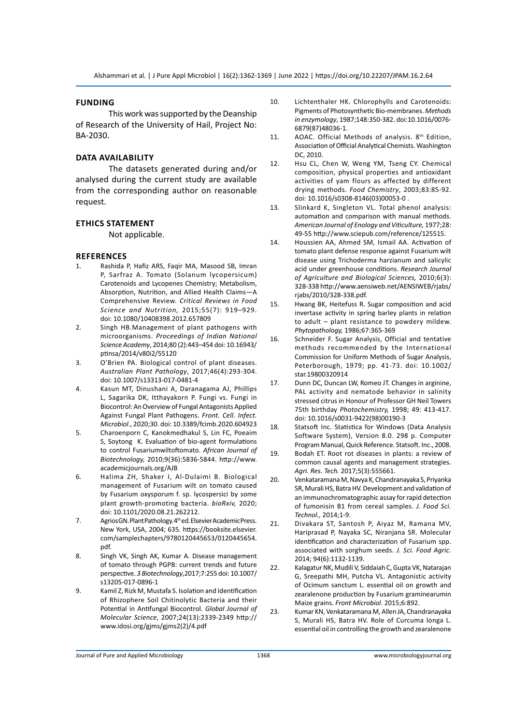#### **Funding**

This work was supported by the Deanship of Research of the University of Hail, Project No: BA-2030.

## **Data availability**

The datasets generated during and/or analysed during the current study are available from the corresponding author on reasonable request.

## **Ethics Statement**

Not applicable.

#### **References**

- 1. Rashida P, Hafiz ARS, Faqir MA, Masood SB, Imran P, Sarfraz A. Tomato (Solanum lycopersicum) Carotenoids and Lycopenes Chemistry; Metabolism, Absorption, Nutrition, and Allied Health Claims—A Comprehensive Review. *Critical Reviews in Food Science and Nutrition,* 2015;55(7): 919–929. doi: 10.1080/10408398.2012.657809
- 2. Singh HB.Management of plant pathogens with microorganisms. *Proceedings of Indian National Science Academy*, 2014;80 (2):443–454 doi: 10.16943/ ptinsa/2014/v80i2/55120
- 3. O'Brien PA. Biological control of plant diseases. *Australian Plant Pathology*, 2017;46(4):293-304. doi: 10.1007/s13313-017-0481-4
- 4. Kasun MT, Dinushani A, Daranagama AJ, Phillips L, Sagarika DK, Itthayakorn P. Fungi vs. Fungi in Biocontrol: An Overview of Fungal Antagonists Applied Against Fungal Plant Pathogens. *Front. Cell. Infect. Microbiol*., 2020;30. doi: 10.3389/fcimb.2020.604923
- 5. Charoenporn C, Kanokmedhakul S, Lin FC, Poeaim S, Soytong K. Evaluation of bio-agent formulations to control Fusariumwiltoftomato. *African Journal of Biotechnology,* 2010;9(36):5836-5844. http://www. academicjournals.org/AJB
- 6. Halima ZH, Shaker I, Al-Dulaimi B. Biological management of Fusarium wilt on tomato caused by Fusarium oxysporum f. sp. lycospersici by some plant growth-promoting bacteria. *bioRxiv,* 2020; doi: 10.1101/2020.08.21.262212.
- 7. Agrios GN. Plant Pathology. 4th ed. Elsevier Academic Press. New York, USA, 2004; 635. https://booksite.elsevier. com/samplechapters/9780120445653/0120445654. pdf.
- 8. Singh VK, Singh AK, Kumar A. Disease management of tomato through PGPB: current trends and future perspective. *3 Biotechnology*,2017;7:255 doi: 10.1007/ s13205-017-0896-1
- 9. Kamil Z, Rizk M, Mustafa S. Isolation and Identification of Rhizophere Soil Chitinolytic Bacteria and their Potential in Antifungal Biocontrol. *Global Journal of Molecular Science*, 2007;24(13):2339-2349 http:// www.idosi.org/gjms/gjms2(2)/4.pdf
- 10. Lichtenthaler HK. Chlorophylls and Carotenoids: Pigments of Photosynthetic Bio-membranes. *Methods in enzymology*, 1987;148:350-382. doi:10.1016/0076- 6879(87)48036-1.
- 11. AOAC. Official Methods of analysis. 8<sup>th</sup> Edition, Association of Official Analytical Chemists. Washington DC, 2010.
- 12. Hsu CL, Chen W, Weng YM, Tseng CY. Chemical composition, physical properties and antioxidant activities of yam flours as affected by different drying methods. *Food Chemistry*, 2003;83:85-92. doi: 10.1016/s0308-8146(03)00053-0 .
- 13. Slinkard K, Singleton VL. Total phenol analysis: automation and comparison with manual methods. *American Journal of Enology and Viticulture,* 1977;28: 49-55 http://www.sciepub.com/reference/125515.
- 14. Houssien AA, Ahmed SM, Ismail AA. Activation of tomato plant defense response against Fusarium wilt disease using Trichoderma harzianum and salicylic acid under greenhouse conditions. *Research Journal of Agriculture and Biological Sciences,* 2010;6(3): 328-338 http://www.aensiweb.net/AENSIWEB/rjabs/ rjabs/2010/328-338.pdf.
- 15. Hwang BK, Heitefuss R. Sugar composition and acid invertase activity in spring barley plants in relation to adult – plant resistance to powdery mildew. *Phytopathology,* 1986;67:365-369
- 16. Schneider F. Sugar Analysis, Official and tentative methods recommended by the International Commission for Uniform Methods of Sugar Analysis, Peterborough, 1979; pp. 41-73. doi: 10.1002/ star.19800320914
- 17. Dunn DC, Duncan LW, Romeo JT. Changes in arginine, PAL activity and nematode behavior in salinity stressed citrus in Honour of Professor GH Neil Towers 75th birthday *Photochemistry,* 1998; 49: 413-417. doi: 10.1016/s0031-9422(98)00190-3
- 18. Statsoft Inc. Statistica for Windows (Data Analysis Software System), Version 8.0. 298 p. Computer Program Manual, Quick Reference. Statsoft. Inc., 2008.
- 19. Bodah ET. Root rot diseases in plants: a review of common causal agents and management strategies. *Agri. Res. Tech.* 2017;5(3):555661.
- 20. Venkataramana M, Navya K, Chandranayaka S, Priyanka SR, Murali HS, Batra HV. Development and validation of an immunochromatographic assay for rapid detection of fumonisin B1 from cereal samples. *J. Food Sci. Technol.,* 2014;1-9.
- 21. Divakara ST, Santosh P, Aiyaz M, Ramana MV, Hariprasad P, Nayaka SC, Niranjana SR. Molecular identification and characterization of Fusarium spp. associated with sorghum seeds. *J. Sci. Food Agric.*  2014; 94(6):1132-1139.
- 22. Kalagatur NK, Mudili V, Siddaiah C, Gupta VK, Natarajan G, Sreepathi MH, Putcha VL. Antagonistic activity of Ocimum sanctum L. essential oil on growth and zearalenone production by Fusarium graminearumin Maize grains. *Front Microbiol*. 2015;6:892.
- 23. Kumar KN, Venkataramana M, Allen JA, Chandranayaka S, Murali HS, Batra HV. Role of Curcuma longa L. essential oil in controlling the growth and zearalenone